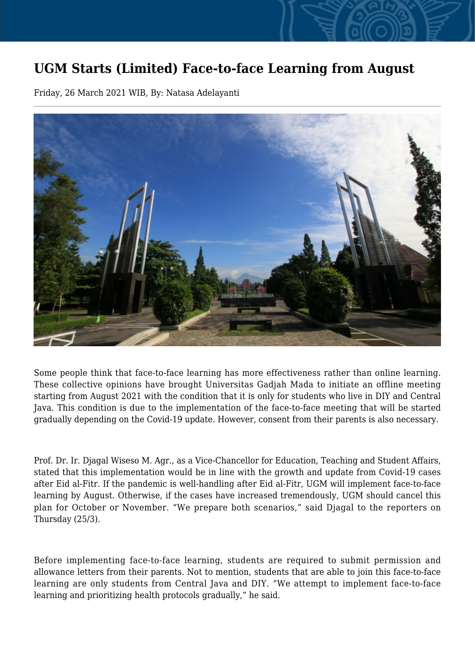## **UGM Starts (Limited) Face-to-face Learning from August**

Friday, 26 March 2021 WIB, By: Natasa Adelayanti



Some people think that face-to-face learning has more effectiveness rather than online learning. These collective opinions have brought Universitas Gadjah Mada to initiate an offline meeting starting from August 2021 with the condition that it is only for students who live in DIY and Central Java. This condition is due to the implementation of the face-to-face meeting that will be started gradually depending on the Covid-19 update. However, consent from their parents is also necessary.

Prof. Dr. Ir. Djagal Wiseso M. Agr., as a Vice-Chancellor for Education, Teaching and Student Affairs, stated that this implementation would be in line with the growth and update from Covid-19 cases after Eid al-Fitr. If the pandemic is well-handling after Eid al-Fitr, UGM will implement face-to-face learning by August. Otherwise, if the cases have increased tremendously, UGM should cancel this plan for October or November. "We prepare both scenarios," said Djagal to the reporters on Thursday (25/3).

Before implementing face-to-face learning, students are required to submit permission and allowance letters from their parents. Not to mention, students that are able to join this face-to-face learning are only students from Central Java and DIY. "We attempt to implement face-to-face learning and prioritizing health protocols gradually," he said.